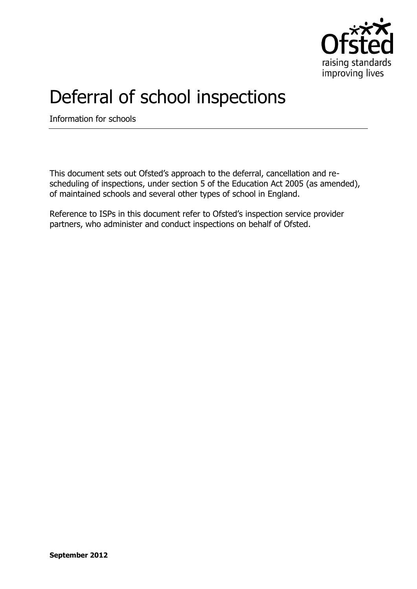

## Deferral of school inspections

Information for schools

This document sets out Ofsted's approach to the deferral, cancellation and rescheduling of inspections, under section 5 of the Education Act 2005 (as amended), of maintained schools and several other types of school in England.

Reference to ISPs in this document refer to Ofsted's inspection service provider partners, who administer and conduct inspections on behalf of Ofsted.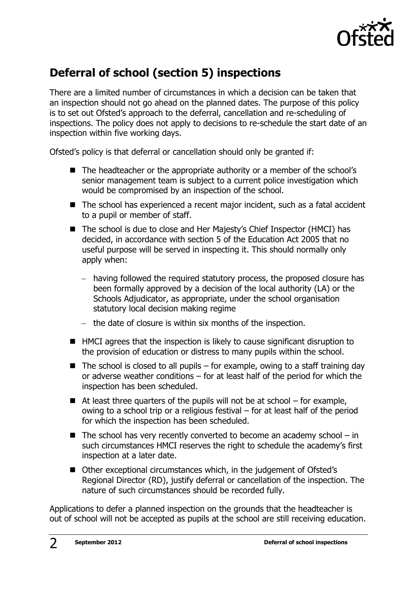

## **Deferral of school (section 5) inspections**

There are a limited number of circumstances in which a decision can be taken that an inspection should not go ahead on the planned dates. The purpose of this policy is to set out Ofsted's approach to the deferral, cancellation and re-scheduling of inspections. The policy does not apply to decisions to re-schedule the start date of an inspection within five working days.

Ofsted's policy is that deferral or cancellation should only be granted if:

- The headteacher or the appropriate authority or a member of the school's senior management team is subject to a current police investigation which would be compromised by an inspection of the school.
- The school has experienced a recent major incident, such as a fatal accident to a pupil or member of staff.
- The school is due to close and Her Majesty's Chief Inspector (HMCI) has decided, in accordance with section 5 of the Education Act 2005 that no useful purpose will be served in inspecting it. This should normally only apply when:
	- having followed the required statutory process, the proposed closure has been formally approved by a decision of the local authority (LA) or the Schools Adjudicator, as appropriate, under the school organisation statutory local decision making regime
	- $-$  the date of closure is within six months of the inspection.
- HMCI agrees that the inspection is likely to cause significant disruption to the provision of education or distress to many pupils within the school.
- $\blacksquare$  The school is closed to all pupils for example, owing to a staff training day or adverse weather conditions – for at least half of the period for which the inspection has been scheduled.
- $\blacksquare$  At least three quarters of the pupils will not be at school for example, owing to a school trip or a religious festival – for at least half of the period for which the inspection has been scheduled.
- $\blacksquare$  The school has very recently converted to become an academy school in such circumstances HMCI reserves the right to schedule the academy's first inspection at a later date.
- Other exceptional circumstances which, in the judgement of Ofsted's Regional Director (RD), justify deferral or cancellation of the inspection. The nature of such circumstances should be recorded fully.

Applications to defer a planned inspection on the grounds that the headteacher is out of school will not be accepted as pupils at the school are still receiving education.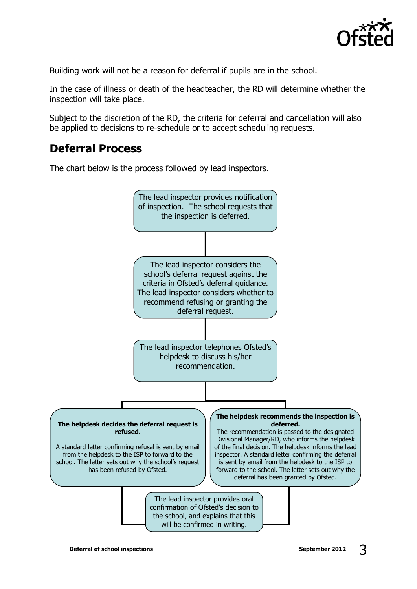

Building work will not be a reason for deferral if pupils are in the school.

In the case of illness or death of the headteacher, the RD will determine whether the inspection will take place.

Subject to the discretion of the RD, the criteria for deferral and cancellation will also be applied to decisions to re-schedule or to accept scheduling requests.

## **Deferral Process**

The chart below is the process followed by lead inspectors.